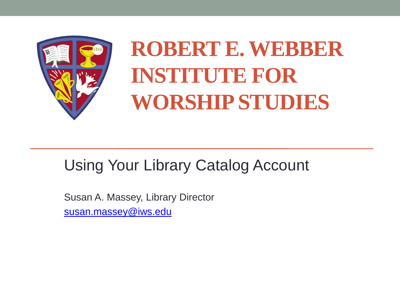

# **ROBERT E. WEBBER INSTITUTE FOR WORSHIP STUDIES**

#### Using Your Library Catalog Account

Susan A. Massey, Library Director [susan.massey@iws.edu](mailto:susan.massey@iws.edu)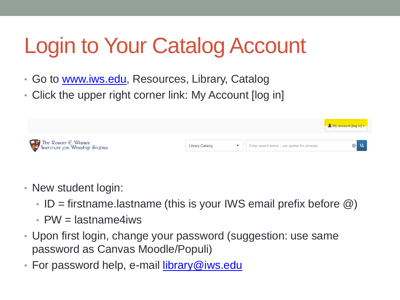# Login to Your Catalog Account

- Go to [www.iws.edu,](http://www.iws.edu/) Resources, Library, Catalog
- Click the upper right corner link: My Account [log in]



- New student login:
	- ID = firstname.lastname (this is your IWS email prefix before  $\omega$ )
	- $PW =$  lastname4iws
- Upon first login, change your password (suggestion: use same password as Canvas Moodle/Populi)
- For password help, e-mail **library@iws.edu**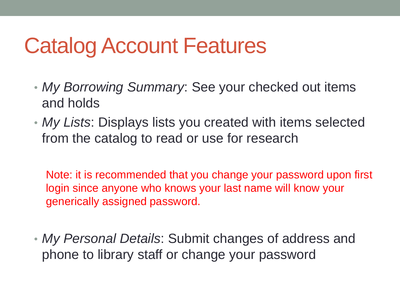### Catalog Account Features

- *My Borrowing Summary*: See your checked out items and holds
- *My Lists*: Displays lists you created with items selected from the catalog to read or use for research

Note: it is recommended that you change your password upon first login since anyone who knows your last name will know your generically assigned password.

• *My Personal Details*: Submit changes of address and phone to library staff or change your password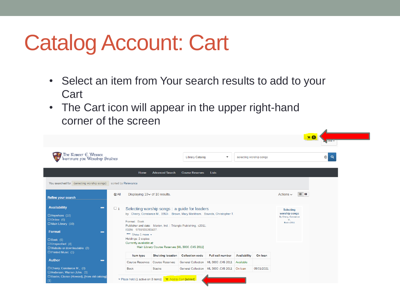### Catalog Account: Cart

- Select an item from Your search results to add to your **Cart**
- The Cart icon will appear in the upper right-hand corner of the screen

| The Robert E. Webber<br>Institute for Worship Studies                                |                                                                                                                                         |                                                  |                        | <b>Library Catalog</b><br>selecting worship songs<br>$\blacktriangledown$ |              |            |                                                    | F <sub>0</sub><br>$\sqrt{\frac{1}{1}}$ lest $\sqrt{\frac{1}{1}}$<br>$\circ$<br>$\alpha$ |
|--------------------------------------------------------------------------------------|-----------------------------------------------------------------------------------------------------------------------------------------|--------------------------------------------------|------------------------|---------------------------------------------------------------------------|--------------|------------|----------------------------------------------------|-----------------------------------------------------------------------------------------|
|                                                                                      | Home                                                                                                                                    | <b>Advanced Search</b>                           | <b>Course Reserves</b> | Lists                                                                     |              |            |                                                    |                                                                                         |
| You searched for (selecting worship songs) sorted by Relevance                       |                                                                                                                                         |                                                  |                        |                                                                           |              |            |                                                    |                                                                                         |
| $5$ All<br><b>Refine your search</b>                                                 | Displaying $10 \times$ of 10 results.                                                                                                   |                                                  |                        |                                                                           |              |            | 三 出<br>Actions $\sim$                              |                                                                                         |
| <b>Availability</b><br>-<br>DAnywhere (10)                                           | $\Box$ 1<br>Selecting worship songs: a guide for leaders<br>by Cherry, Constance M., 1953-. Brown, Mary Markham. Bounds, Christopher T. |                                                  |                        |                                                                           |              |            | Selecting<br>worship songs<br>By Cherry, Constance |                                                                                         |
| $\Box$ Online (6)<br>O Main Library (10)<br><b>Format</b><br>−                       | M.,<br>Format: Book<br><b>Book c2011</b><br>Publisher and date: Marion, Ind.: Triangle Publishing, c2011.<br>ISBN: 9781931283427.       |                                                  |                        |                                                                           |              |            |                                                    |                                                                                         |
| $\Box$ Book (5)<br>□ Unspecified (4)                                                 | *** Show 1 more *<br>Holdings: 2 copies<br>Currently available at:                                                                      |                                                  |                        |                                                                           |              |            |                                                    |                                                                                         |
| $\Box$ Website or downloadable (2)<br>□ Printed Music (1)                            |                                                                                                                                         | Main Library Course Reserves [ML 3000 .C45 2011] |                        |                                                                           |              |            |                                                    |                                                                                         |
| <b>Author</b><br>-                                                                   | Item type<br><b>Course Reserves</b>                                                                                                     | <b>Shelving location</b><br>Course Reserves      | <b>Collection code</b> | <b>Full call number</b><br>General Collection ML 3000 .C45 2011 Available | Availability | On loan    |                                                    |                                                                                         |
| O Cherry, Constance M., (3)                                                          | <b>Book</b>                                                                                                                             | <b>Stacks</b>                                    |                        | General Collection   ML 3000 .C45 2011   On loan                          |              | 05/01/2021 |                                                    |                                                                                         |
| DAnderson, Warren John. (1)<br>□ Baxter, Clarice (Howard), [from old catalog]<br>(1) | ≫ Place hold (1 active on 3 items) F Add to Cart [added]                                                                                |                                                  |                        |                                                                           |              |            |                                                    |                                                                                         |

 $\blacktriangleleft$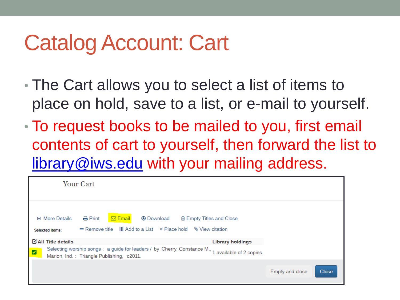#### Catalog Account: Cart

- The Cart allows you to select a list of items to place on hold, save to a list, or e-mail to yourself.
- To request books to be mailed to you, first email contents of cart to yourself, then forward the list to [library@iws.edu](mailto:library@iws.edu) with your mailing address.

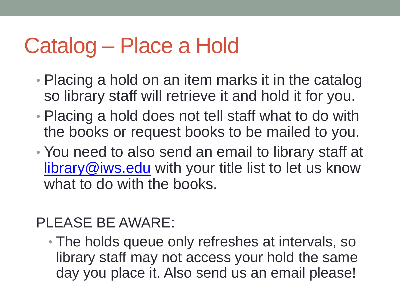## Catalog – Place a Hold

- Placing a hold on an item marks it in the catalog so library staff will retrieve it and hold it for you.
- Placing a hold does not tell staff what to do with the books or request books to be mailed to you.
- You need to also send an email to library staff at [library@iws.edu](mailto:library@iws.edu) with your title list to let us know what to do with the books.

#### PLEASE BE AWARE:

• The holds queue only refreshes at intervals, so library staff may not access your hold the same day you place it. Also send us an email please!